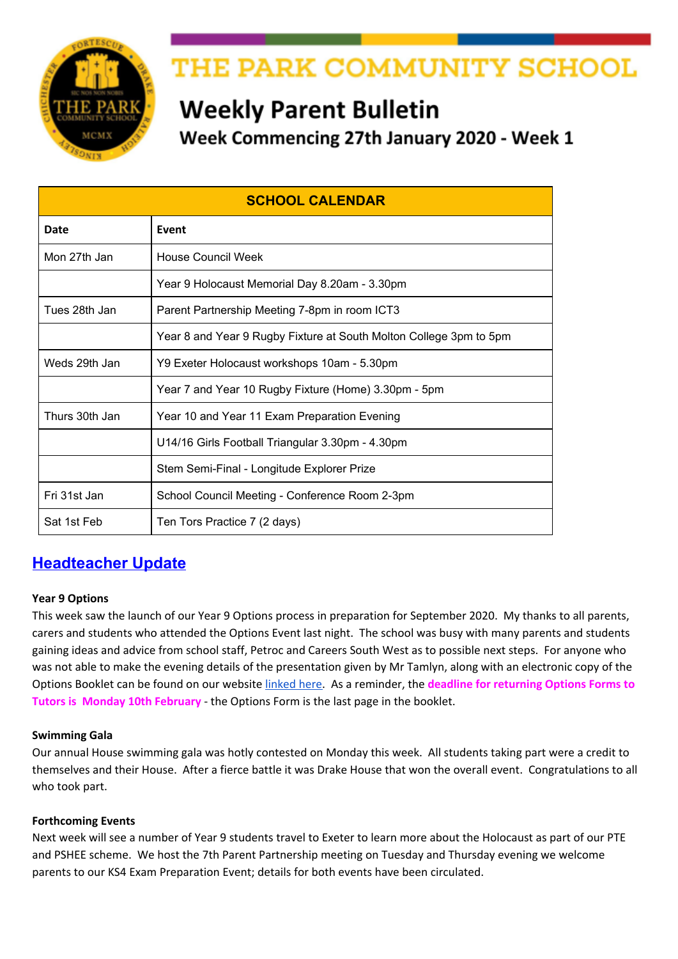

# THE PARK COMMUNITY SCHOOL

# **Weekly Parent Bulletin**

Week Commencing 27th January 2020 - Week 1

| <b>SCHOOL CALENDAR</b> |                                                                    |
|------------------------|--------------------------------------------------------------------|
| Date                   | Event                                                              |
| Mon 27th Jan           | <b>House Council Week</b>                                          |
|                        | Year 9 Holocaust Memorial Day 8.20am - 3.30pm                      |
| Tues 28th Jan          | Parent Partnership Meeting 7-8pm in room ICT3                      |
|                        | Year 8 and Year 9 Rugby Fixture at South Molton College 3pm to 5pm |
| Weds 29th Jan          | Y9 Exeter Holocaust workshops 10am - 5.30pm                        |
|                        | Year 7 and Year 10 Rugby Fixture (Home) 3.30pm - 5pm               |
| Thurs 30th Jan         | Year 10 and Year 11 Exam Preparation Evening                       |
|                        | U14/16 Girls Football Triangular 3.30pm - 4.30pm                   |
|                        | Stem Semi-Final - Longitude Explorer Prize                         |
| Fri 31st Jan           | School Council Meeting - Conference Room 2-3pm                     |
| Sat 1st Feb            | Ten Tors Practice 7 (2 days)                                       |

## **Headteacher Update**

## **Year 9 Options**

This week saw the launch of our Year 9 Options process in preparation for September 2020. My thanks to all parents, carers and students who attended the Options Event last night. The school was busy with many parents and students gaining ideas and advice from school staff, Petroc and Careers South West as to possible next steps. For anyone who was not able to make the evening details of the presentation given by Mr Tamlyn, along with an electronic copy of the Options Booklet can be found on our website [linked](http://www.theparkschool.org.uk/year-9-options-2020) here. As a reminder, the **deadline for returning Options Forms to Tutors is Monday 10th February** - the Options Form is the last page in the booklet.

## **Swimming Gala**

Our annual House swimming gala was hotly contested on Monday this week. All students taking part were a credit to themselves and their House. After a fierce battle it was Drake House that won the overall event. Congratulations to all who took part.

## **Forthcoming Events**

Next week will see a number of Year 9 students travel to Exeter to learn more about the Holocaust as part of our PTE and PSHEE scheme. We host the 7th Parent Partnership meeting on Tuesday and Thursday evening we welcome parents to our KS4 Exam Preparation Event; details for both events have been circulated.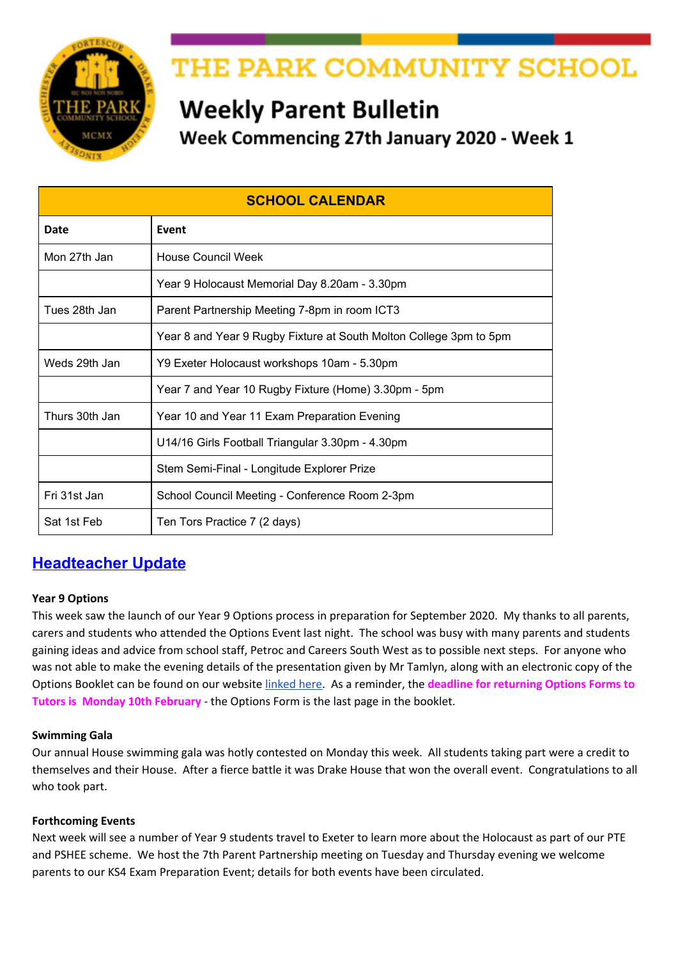#### **School computer systems**

As previously mentioned over February half term we will be migrating to a new school Management Information System (MIS). As you may imagine this is a large task for us as we use our MIS for many varied tasks, such as registration, student and parent contact details, timetables, assessment and reporting, HR, etc. We are confident that our new system will provide an enhanced service for the school and allow for a new parental app 'My Child at School' for home/school communications.

To ensure the transfer of data is as seamless as possible can you please ensure our school office has up to date contact details, contact numbers, email addresses, emergency contact details, etc. If you are in any doubt please call into or contact reception on the usual school number or email admin@theparkschool.org.uk.

Thank you for your support and understanding as we migrate to our new systems.

#### **Online safety**

As mobiles, social media, gaming etc are part and parcel of daily life we feel it is important to provide and share information to help parents discus potential issues with their sons/daughters. We have recently joined the "national online safety website" which provides many valuable resources. We will share a 'top tips' poster every week as part of our Parent Bulletin covering a range of issues from influencers to 'online gambling'. Please take 5 minutes to read this information.

#### **Pick up/drop off**

Can I remind all parents who pick up/ drop off students in cars that Chichester Road is a private road. I have been contacted by local residents who are worried about road safety due to the large volume of parents using this area. Thank you for your consideration and support.

#### *Gareth Roscoe - Headteacher*

## **Upcoming Competitions**

#### **Youth Speaks Competition**

We are entering a senior and intermediate team to the Barnstaple round of Youth Speaks at the Grosvenor Church on Saturday 25<sup>th</sup> January. We would like to wish both teams good luck!

#### **Stem Semi-Final - Longitude Explorer Prize**

Representatives of our STEM club (Science, Technology, Engineering & Maths) are travelling up to London on Thursday as their "Instaclean Beach Clean" app has been put through to the semi-finals of the Longitude Explorer Prize. Good Luck and fingers crossed for the Team.

## **Attendance - Medical Appointments**

We require prior notice from parents/carers of any medical appointments that students attend before registration. When an appointment is pre booked could you please inform the school office. If your child arrives at school after an appointment and we have not been informed by parent/carer - evidence will be required i.e. hospital letter, appointment card, copy of text/email of appointment confirmation.

#### **Calling all writers!**

Park School English department is launching its very own writing competition. This will run termly with prizes for winners and runners-up, as well as entry into an annual published anthology.

This is open to all year groups and you will be judged against others in your year. This term's theme is 'New Beginnings'. See posters in the Library and English corridor for more details.

- j
- 
- j j
- ľ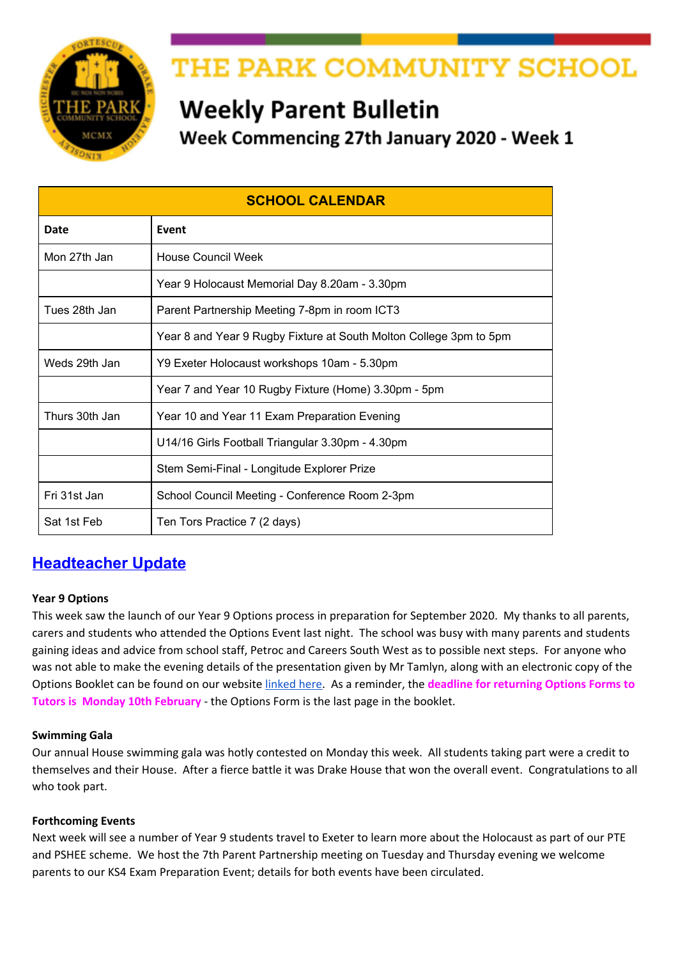## **SCHOOL TRIPS**

Please ensure that you keep up to date with paying the instalments for any trips that your child has signed up for.

#### **Year 10/11 Poland Trip - 14/2/20**

We urgently need passports and EHIC cards handed into school. Further to the information evening held for students and parents, we have emailed parents/carers a copy of the powerpoint. If you have any further questions please do not hesitate to email Mr Griffiths at **[sgriffiths@theparkschool.org.uk](mailto:sgriffiths@theparkschool.org.uk)**

#### **Torquay Residential**

 $\frac{1}{2}$ 

Please return the medical form issued to students last term as soon as possible. The next instalment is also due for this trip.

#### **French Residential**

Students do NOT need a passport. To apply for a GROUP passport, we require parents to complete and return the Collective Passport Questionnaire urgently, please kindly ensure you return the form as soon as possible.

#### **Bude Residential**

Letters regarding the Bude residential were issued to students in December 2019. **The reply slip and deposit payment should be received by 31st January in order to reserve a place.**

#### **Madrid February 2020**

We urgently need passports and EHIC cards handed into school. Further to the information evening held for students and parents this week please see the link to the [powerpoint](http://www.theparkschool.org.uk/sites/default/files/Madrid-Parents-meeting-2020.pdf) shown at the meeting.

#### **New York July 2020**

Please remember the final instalment is due on 1/2/20. We held a student meeting on Tuesday 14th January and issued a Parental Consent Form and Passport Form to be completed and returned by 1st February.

#### **Ski Trip 2020**

The balance should now be paid for this trip.

#### **Ski Trip 2021**

j

We still have places left on our April 2021 Ski Trip, if your son/daughter is interested they should pick up a letter from pupil reception and return the reply slip. It is a fantastic opportunity to experience something new, either skiing or snowboarding, or improve technique if they are more experienced.

Videos of the Ski 2019 trip can be found by clicking below: Full Film - [https://youtu.be/757sL\\_PXyug](https://youtu.be/757sL_PXyug) Ski Fails - <https://youtu.be/E8fp0VuSvQc>

If you need to know any more details, please do not hesitate to contact Mr James: ljames@theparkschool.org.uk or contact the school office.

#### **DONATION REQUESTS**

#### **Girls Pants And Tights**

We are part of the Red Box Scheme which provides free sanitary ware for students. We keep in school girls pants and tights to be available when needed. We are currently short in stock of the following and would really appreciate any donations from parents/carers: **Tights - Black Opaque 60 Deniers - All sizes Pants - Black briefs - All sizes**

Please hand any donations into the School Office.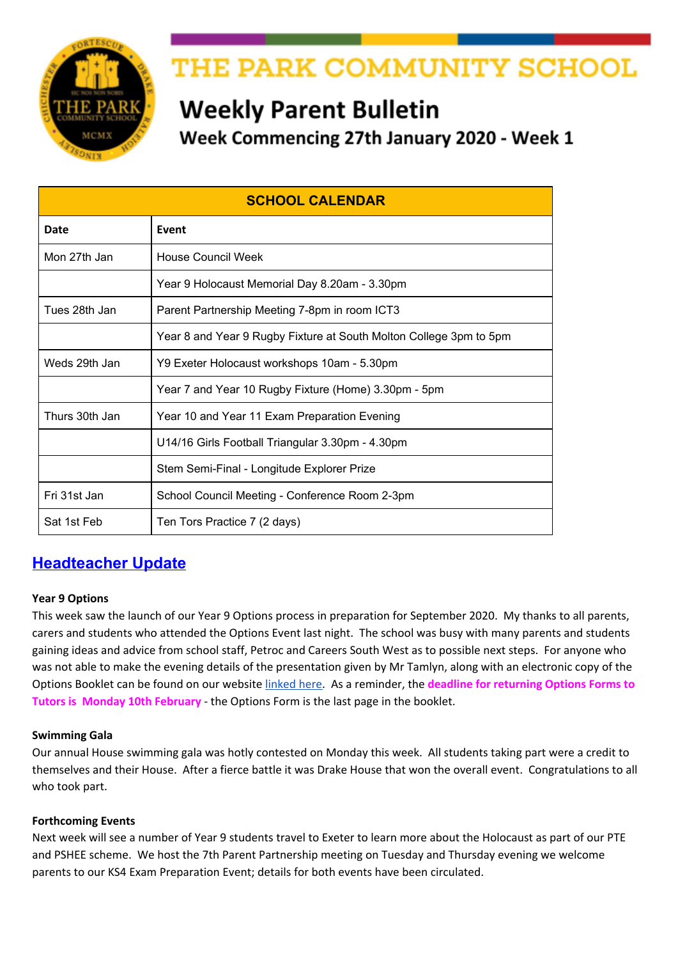#### **Park Gardening Club**

Gardening club is starting after February half term and we need donations of gardening equipment, seeds and compost. If you have any spare gardening gloves, wellies (in any size), forks and trowels, seed packs and compost bags, or any other useful gardening equipment, please donate to reception where it will be greatly received.

## **SCHOOL EVENTS**

## **Parent Partnership Meeting**



We have a Parent Partnership meeting on Tuesday 28th January at 7pm in ICT3.

Mr Tamlyn will talk us through Monitoring reports and answer queries about this. We can also help with questions you may have on any subject/issue.

## **Macbeth Performance 12th February**

Our Drama students will be performing the Shakespeare Schools Festival amended script of Macbeth on Wednesday 12th and Thursday 13th February 7-8 pm in the School Hall.

We would like this performance to be a 'Pay What You Can' on the evening event. To ensure you reserve your seat please confirm your attendance on a first come first served basis using the Google Form below.

#### Macbeth Seat [Reservations](https://docs.google.com/forms/d/e/1FAIpQLSf2mqyMp3nMvNdlwgjqSRMqxBn6TpT5PmhBzrX-v_GioIezow/viewform) Form

As this is an amended performance with no interval, refreshments will not be served.

# **Macbeth Cast Rehearsals W/C 27th January**

#### Monday

- Monday lunchtime with Mrs Stevens in Dr1 Macbeth and Banguo, ALL WITCHES and witches' cauldron.
- Monday lunchtime with Mr Carroll in Dr2 Act 5: Scene 3 & 4 Ben McElfatrick, Nina Cormack, Emily Drury, Hannah Piers, Aban Aslam

#### Tuesday

· Tuesday lunchtime with Mr Carroll in Dr2- Act 5 Sc: 5 Ben McElfatrick, Ning Cormack

#### Wednesday

• Wednesday lunchtime with Ms Perkins in Eng11 - Hunny Phillips & Ben **McElfatrick** 

#### Thursday

Thursday lunchtime with Mrs Stevens in Dr1 - All witches, witches cauldron and apparitions

FULL CAST REHEARSAL AFTER SCHOOL ON THURSDAY UNTIL 4.30

KEEP LEARNING YOUR LINES FOLKS - ONLY 3 WEEKS UNTIL FIRST PERFORMANCE!

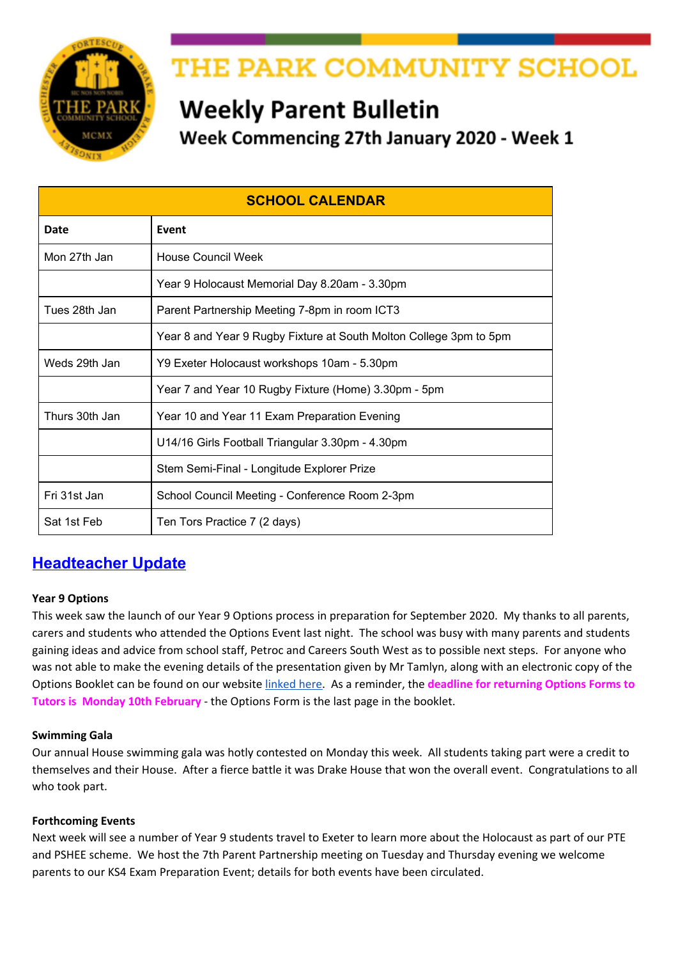## **MATHS INFORMATION**

## MATHS PUZZLE OF THE WEEK - Week 18

Put your solution in a Maths Puzzle Box by the end of Friday 31<sup>st</sup> January for a chance of winning the weekly prize

I am thinking of two numbers.

- If I multiply the first number by 4 and add the second number the answer is 32.
- If I multiply the first number by 2 and add the second number the answer is 23.

Work out the two numbers.

## **Maths Puzzle of the Week**

Each week the maths department issue a maths puzzle for students.

The Puzzle Of The Week can be viewed on your child's tutor group notice board as well as on display outside Maths 11.

They should put their solution in the box in their Maths room by the end of the week for a chance of winning the weekly prize.

*H* Yk JbbYf Zt k YY\_'% k Ug' *<i>GUaiY* < UfdYf<sup>'+</sup>; F

j j j j j j j

ſ

## **PARK COMMUNITY SCHOOL LOTTERY**

## **This Weeks' Lucky Winner**

Congratulations to Mr L who won our biggest prize yet of £35.10.

If you are a winner and would also like to donate your winnings back to the school, we would be very grateful.

## **Have you registered for the Lottery?**

If you have registered for the Lottery, please ensure you also set up your ticket. Eleven people have registered to play the lottery, but have not bought a ticket, so are not included in the lottery draw.

## **Fitbit Offer**

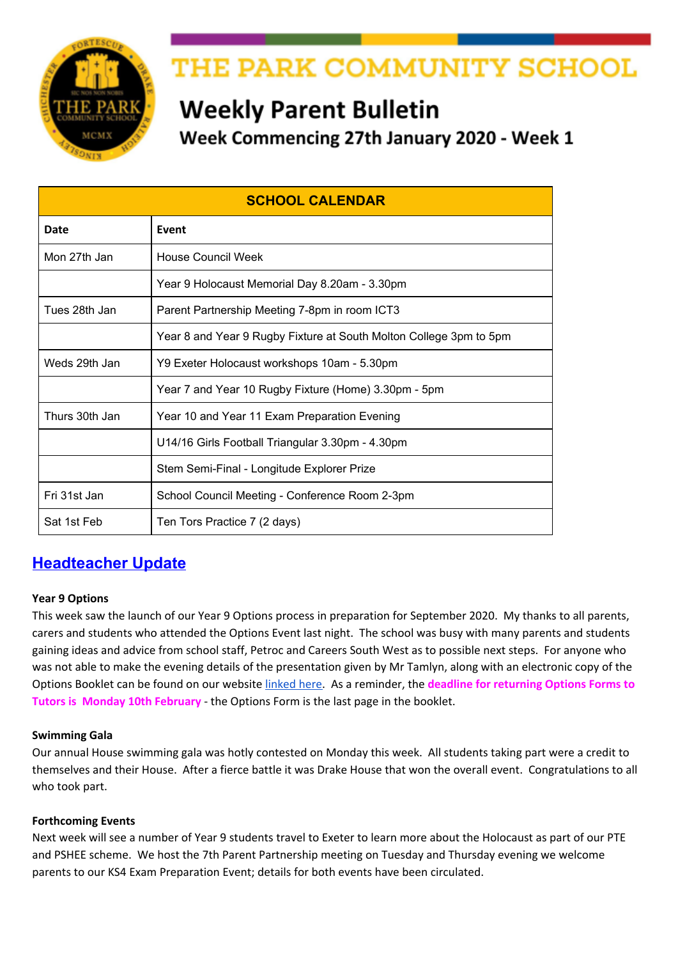#### **How the lottery benefits your school**

So far we have 91 supporters, who have bought 122 tickets - each ticket costs £1 per week and **40%** of the money raised goes to Friends of Park school projects.

The lottery is a fun and effective way to raise money to improve our school. But we need your help to make the lottery the best it can be, so please support the lottery today - and who knows, maybe you'll be the next £25,000 winner!

## **For more information and to sign up click [here](https://www.yourschoollottery.co.uk/lottery/school/the-park-community-school).**

## **KS3 INFORMATION**

## **Year 8 PTE The Langar**

Can parents/carers please return the reply slip and payment of £2.30 to Pupil Reception by **Friday 31st January**. If students have lost the letter there are spare copies at Pupil Reception. For students with Free School Meals there is no payment required but please return reply slip.

## **Year 9 Careers Programme – CAREER PILOT**

Year 9 students have all used the Career Pilot website to carry out research about subjects and the careers that subjects can lead to. This is part of the careers programme leading up to students making their subject choices in February. Students have a workbook to record their research and after the session on Career Pilot at school, can take the book home and show parents/carers how the website works and share the research they have carried out. They can continue research if they are undecided about which subjects to choose.

Students will also be receiving information from employers and Careers South West about employment opportunities in the South West. Petroc and Careers South West will be attending the Options Evening.

#### **GH ca Ug**

Password: 2121

j

j j

## **YEAR 10 WORK EXPERIENCE**

## **Year 10 Work Experience**

If students have not heard from an employer they have written to, they should contact the employer to ask if a decision has been made. If the student has not secured a placement then they need to use the database below to look for other placements.

Students can adapt the letter they have already written and either post or email their letter. Students can access the database to look for placements used in the past: [http://devon.learnaboutwork.org](http://devon.learnaboutwork.org/) **Log In Details:** School Name: The Park Community School User Name: Park Student

## **North Devon Hospice Opportunities**

The North Devon Hospice have many work experience opportunities in various departments. The two links below provide more information and an application form, for those who are interested. List of work [placements](https://drive.google.com/open?id=15sKDzQnv-jl4HPx3-FsZ5WMfOf1njk9q) Work [experience](https://drive.google.com/open?id=1ALmGqqZjk8Ycv41jQL3zuJrJrzaojh1Q) request form j

## **KS4 INFORMATION**

## **Year 10 Mock GCSE & BTEC Exam Timetable**

Year 10 students were issued with the Mock and BTEC timetable today, a copy can also be found [here](http://www.theparkschool.org.uk/sites/default/files/Y10-Mock-and-BTEC-Exam-Timetable.pdf) and on our website under the "Events" menu.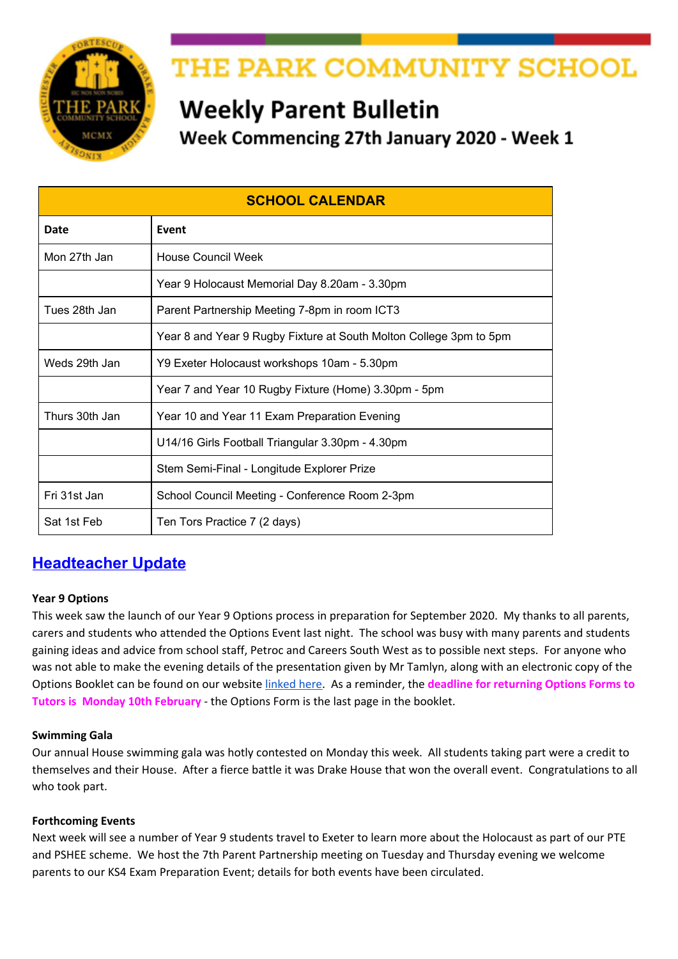## **Year 10 and Year 11 Exam Preparation Evening**

We have sent the below email to parents/carers in Year 10/11:

You and your child are invited to attend an evening on Thursday 30th January at 5.45 pm, aimed at all Key Stage 4 students to help them prepare for their English, Maths and Science exams. Talks will start at 6 pm promptly.

The Heads of Departments from each of the three subjects will be delivering a 20 minute talk with tips and tricks regarding their subject area and how to succeed in exams.

Please could you RSVP on the form below and register on the night at the sign-in desk in the foyer by the Maths corridor. On the night you will be split into three groups and listen to each talk on rotation.

#### Link to [Form](https://docs.google.com/forms/d/e/1FAIpQLSdRnf0L6nQacnNFxQ8WTh-FBuEfbEhB5Id2zM07kP5-uXyiwA/viewform)

Revision Guides will be sold before the event between 5.30 - 6.00 pm at the sign-in desk. Cash and card payments will be accepted.

#### **Year 11 Revision Session Timetable**

Please see link to the current Year 11 Revision Session [Timetable](https://docs.google.com/document/d/e/2PACX-1vTPsd4YeatVdWH7VU97eQjB6lHLh8SyB0wIFRd2DUkw8xKFuBKD-VyYHnyKrRgJA5s2dSnxWxr4AHIQ/pub) uploaded on our website under the "Events" menu. It would be great if parents/carers could encourage their sons/daughters in Year 11 to attend these revision sessions.

## **YEAR 11 NCS Update**

Places are now filling up quickly, and NCS are operating a waiting list for the first start date. Forty-eight students from Park have signed up already. There is a reminder of the programme dates below. Students may want to consider the last start date if they are available for it as there are more spaces available for this date which means they are more likely to guarantee their spot and be able to go with friends! 29/06/2020 – 24/07/2020 \*FULLY BOOKED\* 13/07/2020 – 31/07/2020 - FINAL SPACES REMAINING 27/07/2020 – 21/08/2020 - AVAILABLE



The £30 promotion for NCS has now ended and the price has returned to £50 (bursaries are still available if requested; however, students who sign before 20<sup>th</sup> January will be invited to the FREE Air Extreme Take Over Event on 30<sup>th</sup> Jan (depending on availability – invite attached). Students who have already signed up to the programme will have received their invite already.

For more information and to sign up visit their website <https://wearencs.com/>

#### **Year 11 College Interviews**

j

Invitations for interview are coming through. Students should sign out at Pupil Reception and bring evidence of their interview to sign out; this will save time getting permission to leave school. Students should take their Progress Folder with them to the interview and return it to their Tutor after the interview. Afg'H\ca Ug'!'7UfYYfg'7ccfX]bUrcf'

## **Year 11 Students interested in Apprenticeships**

Thank you to the students and parents that attended the Apprenticeship Evening last week. I offered to share the web site that was being promoted by the Department for Work and Pensions for students actively looking for apprenticeship placements.

#### [Find an apprenticeship - GOV.UK](https://www.gov.uk/apply-apprenticeship)

This site will give you information about apprenticeships in your location or by your area of interest. You will need to register and then receive alerts when adverts are posted.

There are currently 106 Level 2 and 3 Apprenticeships offered within a 40 mile radius of Park School. Sign up to look and receive alerts.